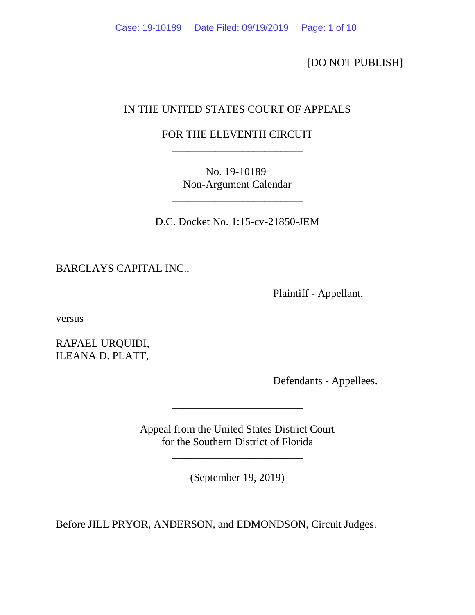[DO NOT PUBLISH]

# IN THE UNITED STATES COURT OF APPEALS

## FOR THE ELEVENTH CIRCUIT \_\_\_\_\_\_\_\_\_\_\_\_\_\_\_\_\_\_\_\_\_\_\_\_

No. 19-10189 Non-Argument Calendar

\_\_\_\_\_\_\_\_\_\_\_\_\_\_\_\_\_\_\_\_\_\_\_\_

D.C. Docket No. 1:15-cv-21850-JEM

BARCLAYS CAPITAL INC.,

Plaintiff - Appellant,

versus

RAFAEL URQUIDI, ILEANA D. PLATT,

Defendants - Appellees.

Appeal from the United States District Court for the Southern District of Florida

\_\_\_\_\_\_\_\_\_\_\_\_\_\_\_\_\_\_\_\_\_\_\_\_

(September 19, 2019)

\_\_\_\_\_\_\_\_\_\_\_\_\_\_\_\_\_\_\_\_\_\_\_\_

Before JILL PRYOR, ANDERSON, and EDMONDSON, Circuit Judges.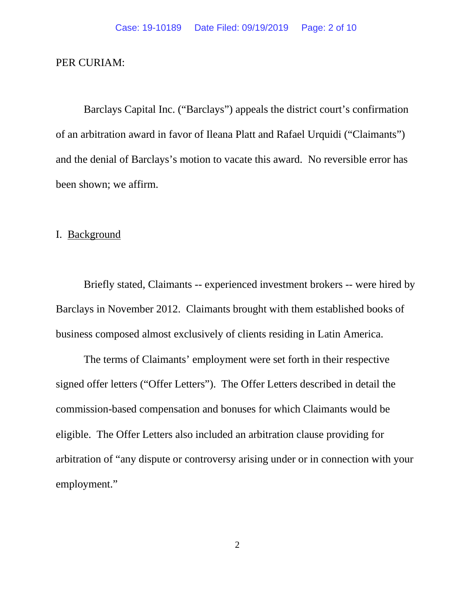### PER CURIAM:

Barclays Capital Inc. ("Barclays") appeals the district court's confirmation of an arbitration award in favor of Ileana Platt and Rafael Urquidi ("Claimants") and the denial of Barclays's motion to vacate this award. No reversible error has been shown; we affirm.

### I. Background

Briefly stated, Claimants -- experienced investment brokers -- were hired by Barclays in November 2012. Claimants brought with them established books of business composed almost exclusively of clients residing in Latin America.

The terms of Claimants' employment were set forth in their respective signed offer letters ("Offer Letters"). The Offer Letters described in detail the commission-based compensation and bonuses for which Claimants would be eligible. The Offer Letters also included an arbitration clause providing for arbitration of "any dispute or controversy arising under or in connection with your employment."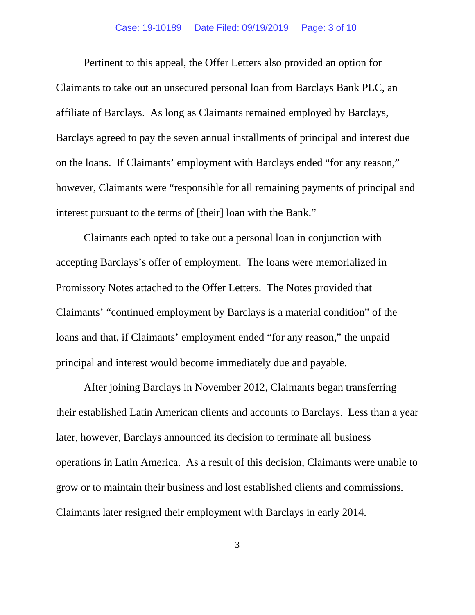Pertinent to this appeal, the Offer Letters also provided an option for Claimants to take out an unsecured personal loan from Barclays Bank PLC, an affiliate of Barclays. As long as Claimants remained employed by Barclays, Barclays agreed to pay the seven annual installments of principal and interest due on the loans. If Claimants' employment with Barclays ended "for any reason," however, Claimants were "responsible for all remaining payments of principal and interest pursuant to the terms of [their] loan with the Bank."

Claimants each opted to take out a personal loan in conjunction with accepting Barclays's offer of employment. The loans were memorialized in Promissory Notes attached to the Offer Letters. The Notes provided that Claimants' "continued employment by Barclays is a material condition" of the loans and that, if Claimants' employment ended "for any reason," the unpaid principal and interest would become immediately due and payable.

After joining Barclays in November 2012, Claimants began transferring their established Latin American clients and accounts to Barclays. Less than a year later, however, Barclays announced its decision to terminate all business operations in Latin America. As a result of this decision, Claimants were unable to grow or to maintain their business and lost established clients and commissions. Claimants later resigned their employment with Barclays in early 2014.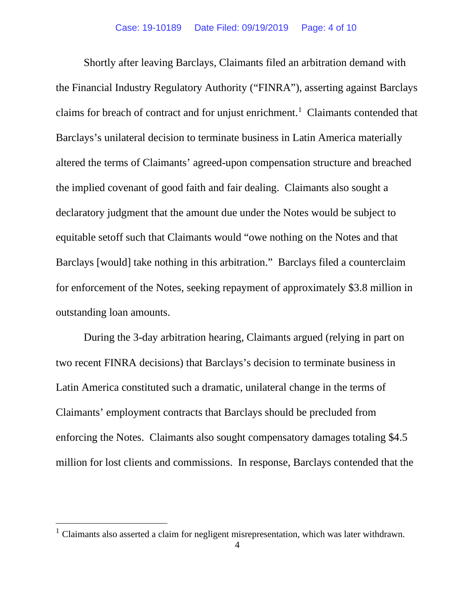Shortly after leaving Barclays, Claimants filed an arbitration demand with the Financial Industry Regulatory Authority ("FINRA"), asserting against Barclays claims for breach of contract and for unjust enrichment. [1](#page-3-0) Claimants contended that Barclays's unilateral decision to terminate business in Latin America materially altered the terms of Claimants' agreed-upon compensation structure and breached the implied covenant of good faith and fair dealing. Claimants also sought a declaratory judgment that the amount due under the Notes would be subject to equitable setoff such that Claimants would "owe nothing on the Notes and that Barclays [would] take nothing in this arbitration." Barclays filed a counterclaim for enforcement of the Notes, seeking repayment of approximately \$3.8 million in outstanding loan amounts.

During the 3-day arbitration hearing, Claimants argued (relying in part on two recent FINRA decisions) that Barclays's decision to terminate business in Latin America constituted such a dramatic, unilateral change in the terms of Claimants' employment contracts that Barclays should be precluded from enforcing the Notes. Claimants also sought compensatory damages totaling \$4.5 million for lost clients and commissions. In response, Barclays contended that the

<span id="page-3-0"></span><sup>&</sup>lt;sup>1</sup> Claimants also asserted a claim for negligent misrepresentation, which was later withdrawn.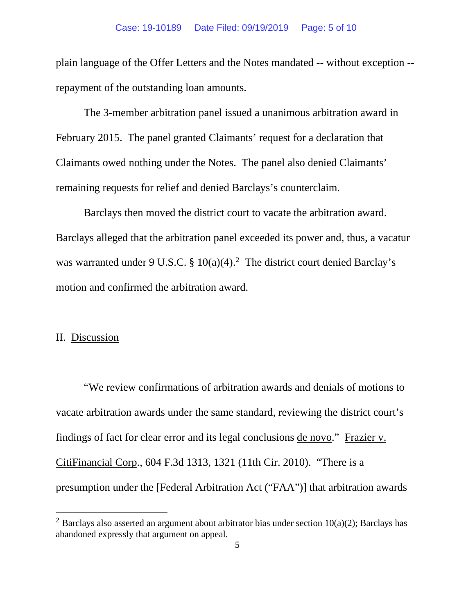plain language of the Offer Letters and the Notes mandated -- without exception - repayment of the outstanding loan amounts.

The 3-member arbitration panel issued a unanimous arbitration award in February 2015. The panel granted Claimants' request for a declaration that Claimants owed nothing under the Notes. The panel also denied Claimants' remaining requests for relief and denied Barclays's counterclaim.

Barclays then moved the district court to vacate the arbitration award. Barclays alleged that the arbitration panel exceeded its power and, thus, a vacatur was warranted under 9 U.S.C. §  $10(a)(4)$ .<sup>[2](#page-4-0)</sup> The district court denied Barclay's motion and confirmed the arbitration award.

### II. Discussion

"We review confirmations of arbitration awards and denials of motions to vacate arbitration awards under the same standard, reviewing the district court's findings of fact for clear error and its legal conclusions de novo." Frazier v. CitiFinancial Corp., 604 F.3d 1313, 1321 (11th Cir. 2010). "There is a presumption under the [Federal Arbitration Act ("FAA")] that arbitration awards

<span id="page-4-0"></span><sup>&</sup>lt;sup>2</sup> Barclays also asserted an argument about arbitrator bias under section  $10(a)(2)$ ; Barclays has abandoned expressly that argument on appeal.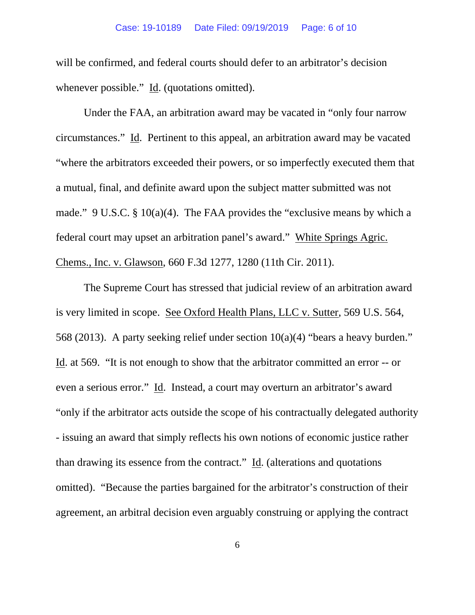will be confirmed, and federal courts should defer to an arbitrator's decision whenever possible." Id. (quotations omitted).

Under the FAA, an arbitration award may be vacated in "only four narrow circumstances." Id. Pertinent to this appeal, an arbitration award may be vacated "where the arbitrators exceeded their powers, or so imperfectly executed them that a mutual, final, and definite award upon the subject matter submitted was not made." 9 U.S.C. § 10(a)(4). The FAA provides the "exclusive means by which a federal court may upset an arbitration panel's award." White Springs Agric. Chems., Inc. v. Glawson, 660 F.3d 1277, 1280 (11th Cir. 2011).

The Supreme Court has stressed that judicial review of an arbitration award is very limited in scope. See Oxford Health Plans, LLC v. Sutter, 569 U.S. 564, 568 (2013). A party seeking relief under section 10(a)(4) "bears a heavy burden." Id. at 569. "It is not enough to show that the arbitrator committed an error -- or even a serious error." Id. Instead, a court may overturn an arbitrator's award "only if the arbitrator acts outside the scope of his contractually delegated authority - issuing an award that simply reflects his own notions of economic justice rather than drawing its essence from the contract." Id. (alterations and quotations omitted). "Because the parties bargained for the arbitrator's construction of their agreement, an arbitral decision even arguably construing or applying the contract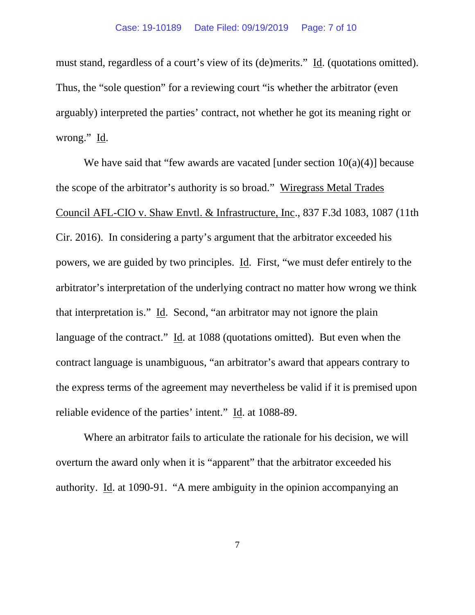must stand, regardless of a court's view of its (de)merits." Id. (quotations omitted). Thus, the "sole question" for a reviewing court "is whether the arbitrator (even arguably) interpreted the parties' contract, not whether he got its meaning right or wrong." Id.

We have said that "few awards are vacated [under section  $10(a)(4)$ ] because the scope of the arbitrator's authority is so broad." Wiregrass Metal Trades Council AFL-CIO v. Shaw Envtl. & Infrastructure, Inc., 837 F.3d 1083, 1087 (11th Cir. 2016). In considering a party's argument that the arbitrator exceeded his powers, we are guided by two principles. Id. First, "we must defer entirely to the arbitrator's interpretation of the underlying contract no matter how wrong we think that interpretation is." Id. Second, "an arbitrator may not ignore the plain language of the contract." Id. at 1088 (quotations omitted). But even when the contract language is unambiguous, "an arbitrator's award that appears contrary to the express terms of the agreement may nevertheless be valid if it is premised upon reliable evidence of the parties' intent." Id. at 1088-89.

Where an arbitrator fails to articulate the rationale for his decision, we will overturn the award only when it is "apparent" that the arbitrator exceeded his authority. Id. at 1090-91. "A mere ambiguity in the opinion accompanying an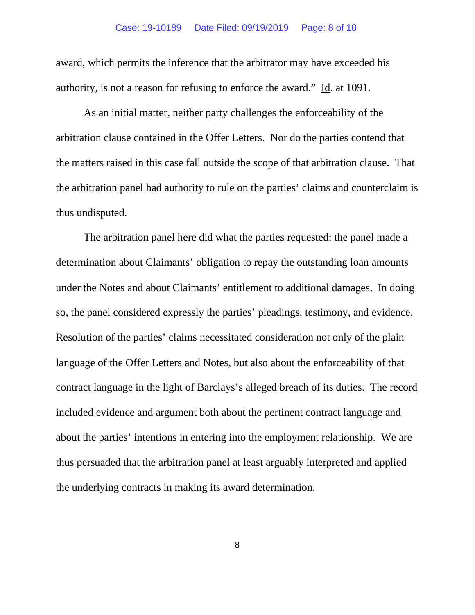award, which permits the inference that the arbitrator may have exceeded his authority, is not a reason for refusing to enforce the award." Id. at 1091.

As an initial matter, neither party challenges the enforceability of the arbitration clause contained in the Offer Letters. Nor do the parties contend that the matters raised in this case fall outside the scope of that arbitration clause. That the arbitration panel had authority to rule on the parties' claims and counterclaim is thus undisputed.

The arbitration panel here did what the parties requested: the panel made a determination about Claimants' obligation to repay the outstanding loan amounts under the Notes and about Claimants' entitlement to additional damages. In doing so, the panel considered expressly the parties' pleadings, testimony, and evidence. Resolution of the parties' claims necessitated consideration not only of the plain language of the Offer Letters and Notes, but also about the enforceability of that contract language in the light of Barclays's alleged breach of its duties. The record included evidence and argument both about the pertinent contract language and about the parties' intentions in entering into the employment relationship. We are thus persuaded that the arbitration panel at least arguably interpreted and applied the underlying contracts in making its award determination.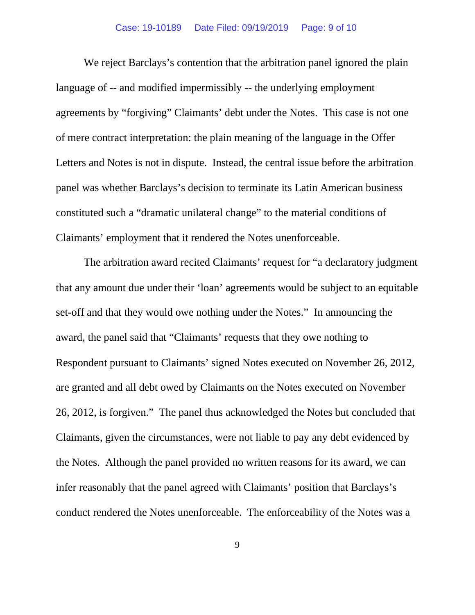We reject Barclays's contention that the arbitration panel ignored the plain language of -- and modified impermissibly -- the underlying employment agreements by "forgiving" Claimants' debt under the Notes. This case is not one of mere contract interpretation: the plain meaning of the language in the Offer Letters and Notes is not in dispute. Instead, the central issue before the arbitration panel was whether Barclays's decision to terminate its Latin American business constituted such a "dramatic unilateral change" to the material conditions of Claimants' employment that it rendered the Notes unenforceable.

The arbitration award recited Claimants' request for "a declaratory judgment that any amount due under their 'loan' agreements would be subject to an equitable set-off and that they would owe nothing under the Notes." In announcing the award, the panel said that "Claimants' requests that they owe nothing to Respondent pursuant to Claimants' signed Notes executed on November 26, 2012, are granted and all debt owed by Claimants on the Notes executed on November 26, 2012, is forgiven." The panel thus acknowledged the Notes but concluded that Claimants, given the circumstances, were not liable to pay any debt evidenced by the Notes. Although the panel provided no written reasons for its award, we can infer reasonably that the panel agreed with Claimants' position that Barclays's conduct rendered the Notes unenforceable. The enforceability of the Notes was a